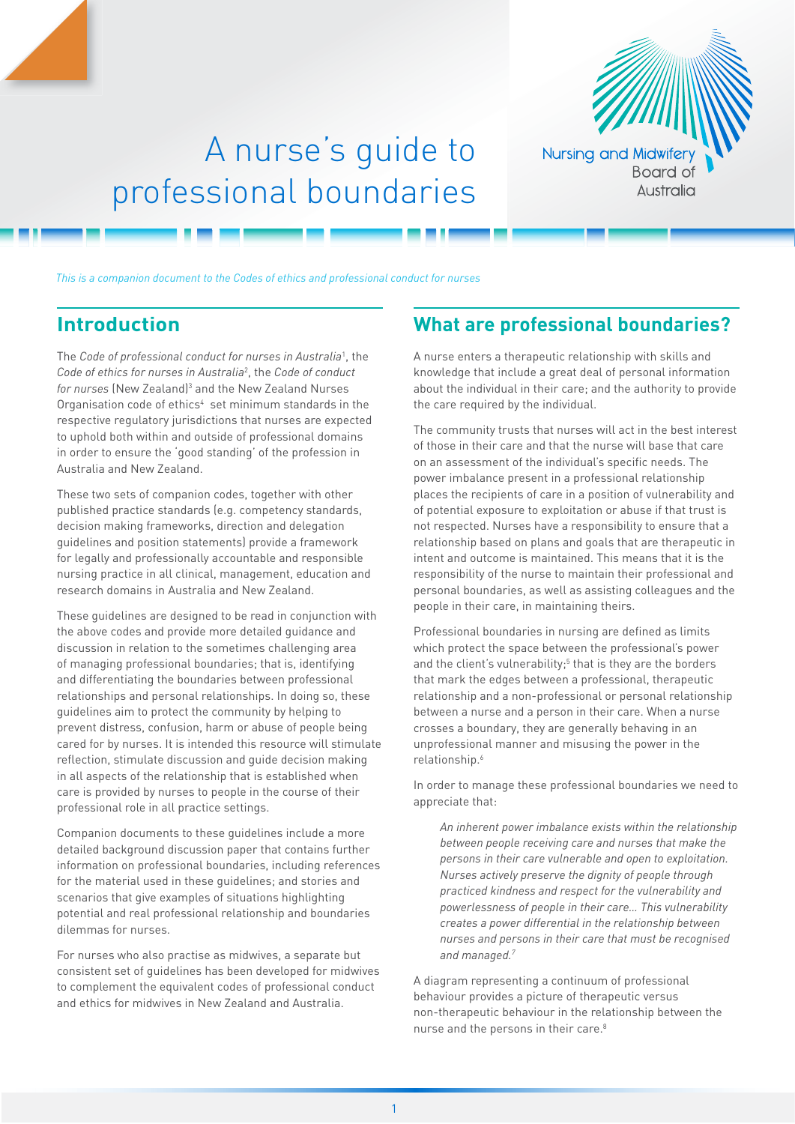

## A nurse's guide to professional boundaries

*This is a companion document to the Codes of ethics and professional conduct for nurses*

## **Introduction**

The *Code of professional conduct for nurses in Australia*<sup>1</sup> , the *Code of ethics for nurses in Australia*<sup>2</sup> , the *Code of conduct*  for nurses (New Zealand)<sup>3</sup> and the New Zealand Nurses Organisation code of ethics<sup>4</sup> set minimum standards in the respective regulatory jurisdictions that nurses are expected to uphold both within and outside of professional domains in order to ensure the 'good standing' of the profession in Australia and New Zealand.

These two sets of companion codes, together with other published practice standards (e.g. competency standards, decision making frameworks, direction and delegation guidelines and position statements) provide a framework for legally and professionally accountable and responsible nursing practice in all clinical, management, education and research domains in Australia and New Zealand.

These guidelines are designed to be read in conjunction with the above codes and provide more detailed guidance and discussion in relation to the sometimes challenging area of managing professional boundaries; that is, identifying and differentiating the boundaries between professional relationships and personal relationships. In doing so, these guidelines aim to protect the community by helping to prevent distress, confusion, harm or abuse of people being cared for by nurses. It is intended this resource will stimulate reflection, stimulate discussion and guide decision making in all aspects of the relationship that is established when care is provided by nurses to people in the course of their professional role in all practice settings.

Companion documents to these guidelines include a more detailed background discussion paper that contains further information on professional boundaries, including references for the material used in these guidelines; and stories and scenarios that give examples of situations highlighting potential and real professional relationship and boundaries dilemmas for nurses.

For nurses who also practise as midwives, a separate but consistent set of guidelines has been developed for midwives to complement the equivalent codes of professional conduct and ethics for midwives in New Zealand and Australia.

## **What are professional boundaries?**

A nurse enters a therapeutic relationship with skills and knowledge that include a great deal of personal information about the individual in their care; and the authority to provide the care required by the individual.

The community trusts that nurses will act in the best interest of those in their care and that the nurse will base that care on an assessment of the individual's specific needs. The power imbalance present in a professional relationship places the recipients of care in a position of vulnerability and of potential exposure to exploitation or abuse if that trust is not respected. Nurses have a responsibility to ensure that a relationship based on plans and goals that are therapeutic in intent and outcome is maintained. This means that it is the responsibility of the nurse to maintain their professional and personal boundaries, as well as assisting colleagues and the people in their care, in maintaining theirs.

Professional boundaries in nursing are defined as limits which protect the space between the professional's power and the client's vulnerability;<sup>5</sup> that is they are the borders that mark the edges between a professional, therapeutic relationship and a non‑professional or personal relationship between a nurse and a person in their care. When a nurse crosses a boundary, they are generally behaving in an unprofessional manner and misusing the power in the relationship.6

In order to manage these professional boundaries we need to appreciate that:

*An inherent power imbalance exists within the relationship between people receiving care and nurses that make the persons in their care vulnerable and open to exploitation. Nurses actively preserve the dignity of people through practiced kindness and respect for the vulnerability and powerlessness of people in their care… This vulnerability creates a power differential in the relationship between nurses and persons in their care that must be recognised and managed.7*

A diagram representing a continuum of professional behaviour provides a picture of therapeutic versus non‑therapeutic behaviour in the relationship between the nurse and the persons in their care.<sup>8</sup>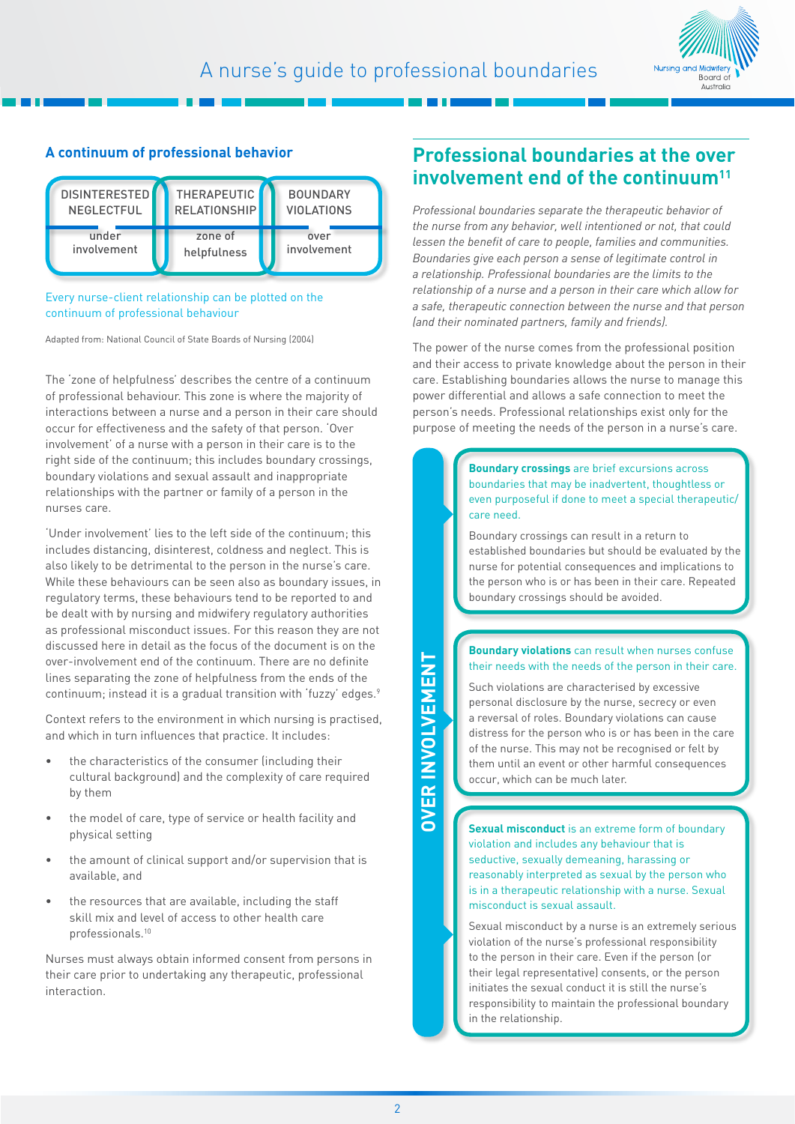

#### **A continuum of professional behavior**



#### Every nurse-client relationship can be plotted on the continuum of professional behaviour

Adapted from: National Council of State Boards of Nursing (2004)

The 'zone of helpfulness' describes the centre of a continuum of professional behaviour. This zone is where the majority of interactions between a nurse and a person in their care should occur for effectiveness and the safety of that person. 'Over involvement' of a nurse with a person in their care is to the right side of the continuum; this includes boundary crossings, boundary violations and sexual assault and inappropriate relationships with the partner or family of a person in the nurses care.

'Under involvement' lies to the left side of the continuum; this includes distancing, disinterest, coldness and neglect. This is also likely to be detrimental to the person in the nurse's care. While these behaviours can be seen also as boundary issues, in regulatory terms, these behaviours tend to be reported to and be dealt with by nursing and midwifery regulatory authorities as professional misconduct issues. For this reason they are not discussed here in detail as the focus of the document is on the over‑involvement end of the continuum. There are no definite lines separating the zone of helpfulness from the ends of the continuum; instead it is a gradual transition with 'fuzzy' edges.<sup>9</sup>

Context refers to the environment in which nursing is practised, and which in turn influences that practice. It includes:

- the characteristics of the consumer (including their cultural background) and the complexity of care required by them
- the model of care, type of service or health facility and physical setting
- the amount of clinical support and/or supervision that is available, and
- the resources that are available, including the staff skill mix and level of access to other health care professionals.10

Nurses must always obtain informed consent from persons in their care prior to undertaking any therapeutic, professional interaction.

## **Professional boundaries at the over involvement end of the continuum11**

*Professional boundaries separate the therapeutic behavior of the nurse from any behavior, well intentioned or not, that could lessen the benefit of care to people, families and communities. Boundaries give each person a sense of legitimate control in a relationship. Professional boundaries are the limits to the relationship of a nurse and a person in their care which allow for a safe, therapeutic connection between the nurse and that person (and their nominated partners, family and friends).* 

The power of the nurse comes from the professional position and their access to private knowledge about the person in their care. Establishing boundaries allows the nurse to manage this power differential and allows a safe connection to meet the person's needs. Professional relationships exist only for the purpose of meeting the needs of the person in a nurse's care.

> **Boundary crossings** are brief excursions across boundaries that may be inadvertent, thoughtless or even purposeful if done to meet a special therapeutic/ care need.

Boundary crossings can result in a return to established boundaries but should be evaluated by the nurse for potential consequences and implications to the person who is or has been in their care. Repeated boundary crossings should be avoided.

#### **Boundary violations** can result when nurses confuse their needs with the needs of the person in their care.

Such violations are characterised by excessive personal disclosure by the nurse, secrecy or even a reversal of roles. Boundary violations can cause distress for the person who is or has been in the care of the nurse. This may not be recognised or felt by them until an event or other harmful consequences occur, which can be much later.

**Sexual misconduct** is an extreme form of boundary violation and includes any behaviour that is seductive, sexually demeaning, harassing or reasonably interpreted as sexual by the person who is in a therapeutic relationship with a nurse. Sexual misconduct is sexual assault.

Sexual misconduct by a nurse is an extremely serious violation of the nurse's professional responsibility to the person in their care. Even if the person (or their legal representative) consents, or the person initiates the sexual conduct it is still the nurse's responsibility to maintain the professional boundary in the relationship.

# **OVER INVOLVEMENTDVER INVOLVEMENT**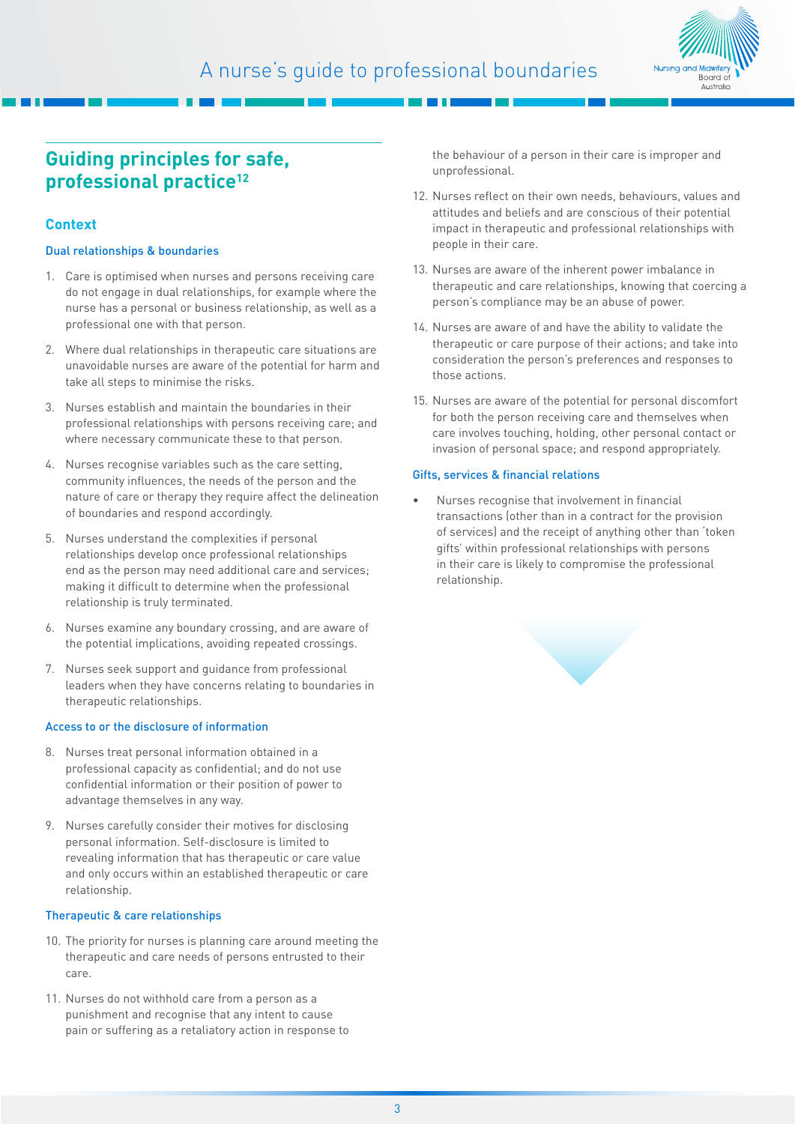

## **Guiding principles for safe, professional practice12**

#### **Context**

#### Dual relationships & boundaries

- 1. Care is optimised when nurses and persons receiving care do not engage in dual relationships, for example where the nurse has a personal or business relationship, as well as a professional one with that person.
- 2. Where dual relationships in therapeutic care situations are unavoidable nurses are aware of the potential for harm and take all steps to minimise the risks.
- 3. Nurses establish and maintain the boundaries in their professional relationships with persons receiving care; and where necessary communicate these to that person.
- 4. Nurses recognise variables such as the care setting, community influences, the needs of the person and the nature of care or therapy they require affect the delineation of boundaries and respond accordingly.
- 5. Nurses understand the complexities if personal relationships develop once professional relationships end as the person may need additional care and services; making it difficult to determine when the professional relationship is truly terminated.
- 6. Nurses examine any boundary crossing, and are aware of the potential implications, avoiding repeated crossings.
- 7. Nurses seek support and guidance from professional leaders when they have concerns relating to boundaries in therapeutic relationships.

#### Access to or the disclosure of information

- 8. Nurses treat personal information obtained in a professional capacity as confidential; and do not use confidential information or their position of power to advantage themselves in any way.
- 9. Nurses carefully consider their motives for disclosing personal information. Self-disclosure is limited to revealing information that has therapeutic or care value and only occurs within an established therapeutic or care relationship.

#### Therapeutic & care relationships

- 10. The priority for nurses is planning care around meeting the therapeutic and care needs of persons entrusted to their care.
- 11. Nurses do not withhold care from a person as a punishment and recognise that any intent to cause pain or suffering as a retaliatory action in response to

the behaviour of a person in their care is improper and unprofessional.

- 12. Nurses reflect on their own needs, behaviours, values and attitudes and beliefs and are conscious of their potential impact in therapeutic and professional relationships with people in their care.
- 13. Nurses are aware of the inherent power imbalance in therapeutic and care relationships, knowing that coercing a person's compliance may be an abuse of power.
- 14. Nurses are aware of and have the ability to validate the therapeutic or care purpose of their actions; and take into consideration the person's preferences and responses to those actions.
- 15. Nurses are aware of the potential for personal discomfort for both the person receiving care and themselves when care involves touching, holding, other personal contact or invasion of personal space; and respond appropriately.

#### Gifts, services & financial relations

• Nurses recognise that involvement in financial transactions (other than in a contract for the provision of services) and the receipt of anything other than 'token gifts' within professional relationships with persons in their care is likely to compromise the professional relationship.

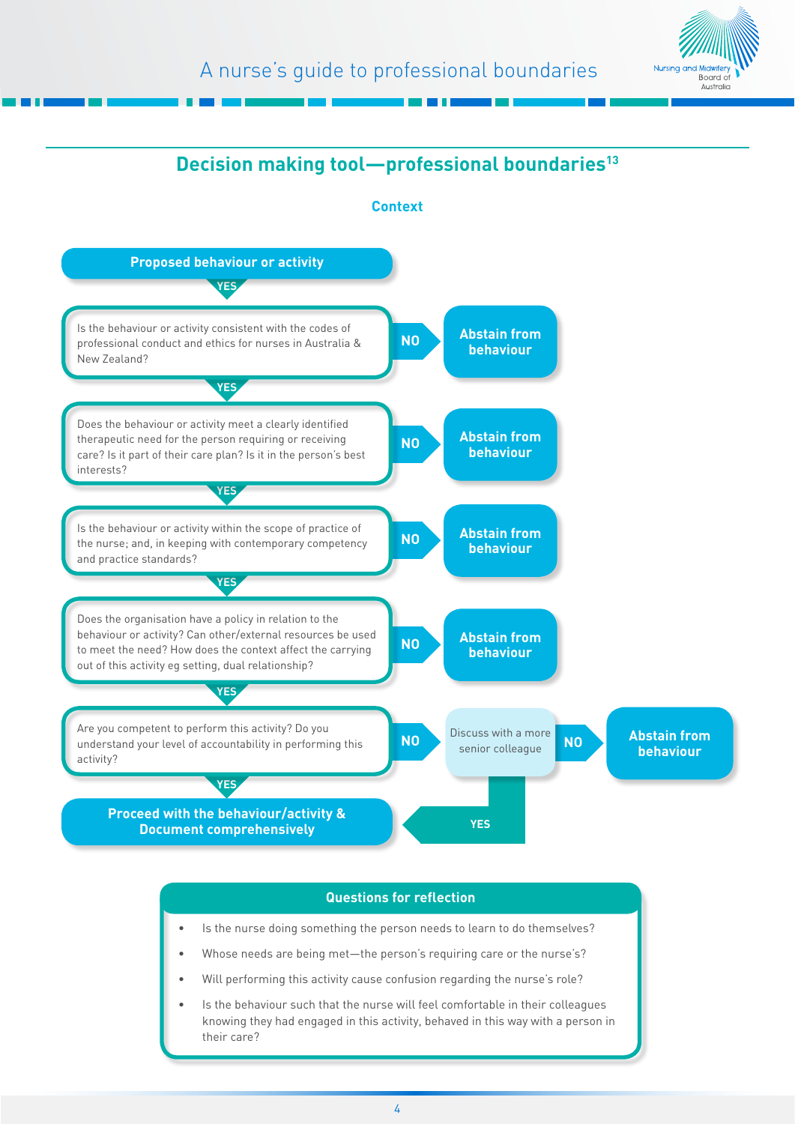



#### **Questions for reflection**

- Is the nurse doing something the person needs to learn to do themselves?
- Whose needs are being met—the person's requiring care or the nurse's?
- Will performing this activity cause confusion regarding the nurse's role?
- Is the behaviour such that the nurse will feel comfortable in their colleagues knowing they had engaged in this activity, behaved in this way with a person in their care?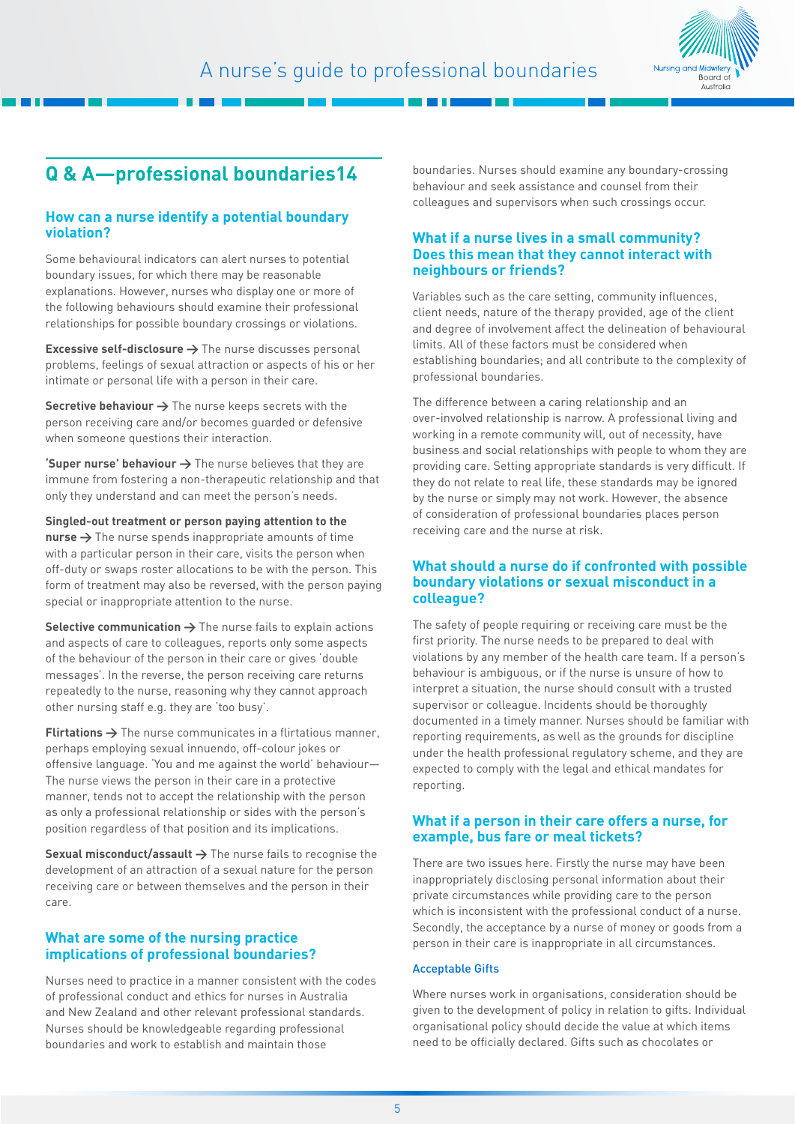

## **Q & A—professional boundaries14**

#### **How can a nurse identify a potential boundary violation?**

Some behavioural indicators can alert nurses to potential boundary issues, for which there may be reasonable explanations. However, nurses who display one or more of the following behaviours should examine their professional relationships for possible boundary crossings or violations.

**Excessive self-disclosure →** The nurse discusses personal problems, feelings of sexual attraction or aspects of his or her intimate or personal life with a person in their care.

**Secretive behaviour → The nurse keeps secrets with the** person receiving care and/or becomes guarded or defensive when someone questions their interaction.

**'Super nurse' behaviour**  $\rightarrow$  The nurse believes that they are immune from fostering a non-therapeutic relationship and that only they understand and can meet the person's needs.

**Singled‑out treatment or person paying attention to the nurse >** The nurse spends inappropriate amounts of time with a particular person in their care, visits the person when off-duty or swaps roster allocations to be with the person. This form of treatment may also be reversed, with the person paying special or inappropriate attention to the nurse.

Selective communication  $\rightarrow$  The nurse fails to explain actions and aspects of care to colleagues, reports only some aspects of the behaviour of the person in their care or gives 'double messages'. In the reverse, the person receiving care returns repeatedly to the nurse, reasoning why they cannot approach other nursing staff e.g. they are 'too busy'.

**Flirtations >** The nurse communicates in a flirtatious manner, perhaps employing sexual innuendo, off‑colour jokes or offensive language. 'You and me against the world' behaviour— The nurse views the person in their care in a protective manner, tends not to accept the relationship with the person as only a professional relationship or sides with the person's position regardless of that position and its implications.

**Sexual misconduct/assault >** The nurse fails to recognise the development of an attraction of a sexual nature for the person receiving care or between themselves and the person in their care.

#### **What are some of the nursing practice implications of professional boundaries?**

Nurses need to practice in a manner consistent with the codes of professional conduct and ethics for nurses in Australia and New Zealand and other relevant professional standards. Nurses should be knowledgeable regarding professional boundaries and work to establish and maintain those

boundaries. Nurses should examine any boundary‑crossing behaviour and seek assistance and counsel from their colleagues and supervisors when such crossings occur.

#### **What if a nurse lives in a small community? Does this mean that they cannot interact with neighbours or friends?**

Variables such as the care setting, community influences, client needs, nature of the therapy provided, age of the client and degree of involvement affect the delineation of behavioural limits. All of these factors must be considered when establishing boundaries; and all contribute to the complexity of professional boundaries.

The difference between a caring relationship and an over‑involved relationship is narrow. A professional living and working in a remote community will, out of necessity, have business and social relationships with people to whom they are providing care. Setting appropriate standards is very difficult. If they do not relate to real life, these standards may be ignored by the nurse or simply may not work. However, the absence of consideration of professional boundaries places person receiving care and the nurse at risk.

#### **What should a nurse do if confronted with possible boundary violations or sexual misconduct in a colleague?**

The safety of people requiring or receiving care must be the first priority. The nurse needs to be prepared to deal with violations by any member of the health care team. If a person's behaviour is ambiguous, or if the nurse is unsure of how to interpret a situation, the nurse should consult with a trusted supervisor or colleague. Incidents should be thoroughly documented in a timely manner. Nurses should be familiar with reporting requirements, as well as the grounds for discipline under the health professional regulatory scheme, and they are expected to comply with the legal and ethical mandates for reporting.

#### **What if a person in their care offers a nurse, for example, bus fare or meal tickets?**

There are two issues here. Firstly the nurse may have been inappropriately disclosing personal information about their private circumstances while providing care to the person which is inconsistent with the professional conduct of a nurse. Secondly, the acceptance by a nurse of money or goods from a person in their care is inappropriate in all circumstances.

#### Acceptable Gifts

Where nurses work in organisations, consideration should be given to the development of policy in relation to gifts. Individual organisational policy should decide the value at which items need to be officially declared. Gifts such as chocolates or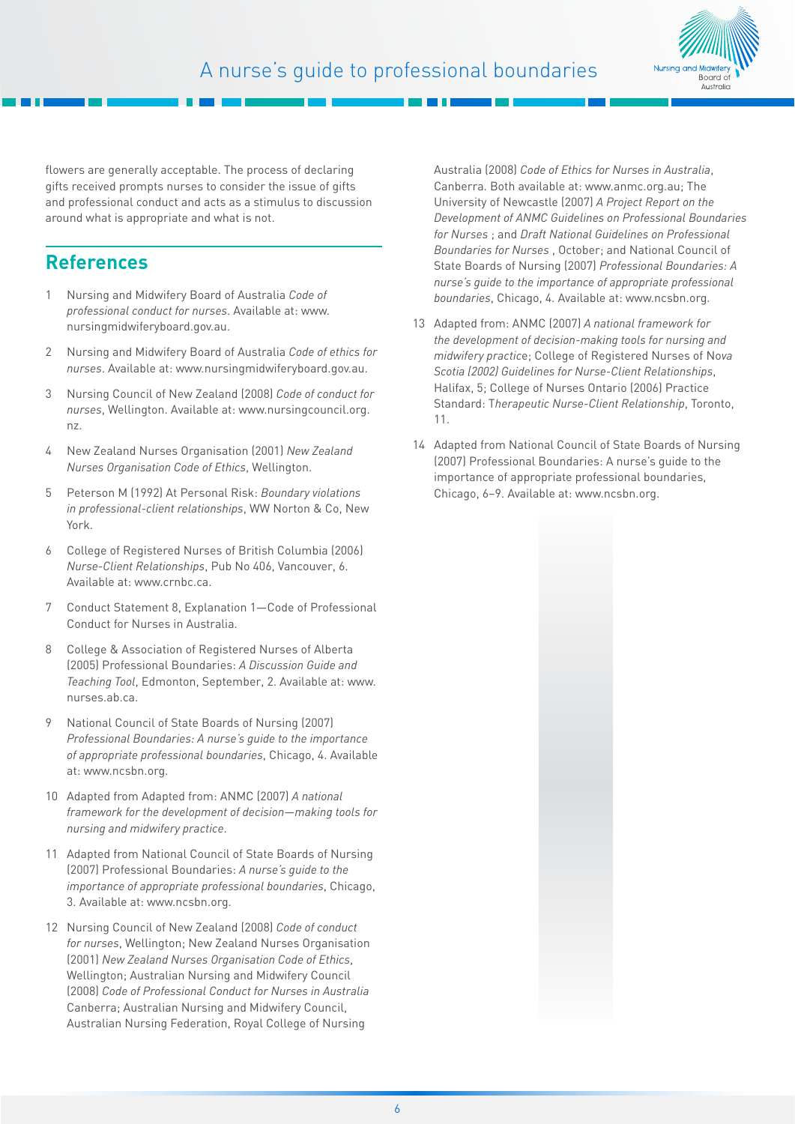

flowers are generally acceptable. The process of declaring gifts received prompts nurses to consider the issue of gifts and professional conduct and acts as a stimulus to discussion around what is appropriate and what is not.

## **References**

- 1 Nursing and Midwifery Board of Australia *Code of professional conduct for nurses*. Available at: www. nursingmidwiferyboard.gov.au.
- 2 Nursing and Midwifery Board of Australia *Code of ethics for nurses*. Available at: www.nursingmidwiferyboard.gov.au.
- 3 Nursing Council of New Zealand (2008) *Code of conduct for nurses*, Wellington. Available at: www.nursingcouncil.org. nz.
- 4 New Zealand Nurses Organisation (2001) *New Zealand Nurses Organisation Code of Ethics*, Wellington.
- 5 Peterson M (1992) At Personal Risk: *Boundary violations in professional‑client relationships*, WW Norton & Co, New York.
- 6 College of Registered Nurses of British Columbia (2006) *Nurse‑Client Relationships*, Pub No 406, Vancouver, 6. Available at: www.crnbc.ca.
- 7 Conduct Statement 8, Explanation 1—Code of Professional Conduct for Nurses in Australia.
- 8 College & Association of Registered Nurses of Alberta (2005) Professional Boundaries: *A Discussion Guide and Teaching Tool*, Edmonton, September, 2. Available at: www. nurses.ab.ca.
- 9 National Council of State Boards of Nursing (2007) *Professional Boundaries: A nurse's guide to the importance of appropriate professional boundaries*, Chicago, 4. Available at: www.ncsbn.org.
- 10 Adapted from Adapted from: ANMC (2007) *A national framework for the development of decision—making tools for nursing and midwifery practice*.
- 11 Adapted from National Council of State Boards of Nursing (2007) Professional Boundaries: *A nurse's guide to the importance of appropriate professional boundaries*, Chicago, 3. Available at: www.ncsbn.org.
- 12 Nursing Council of New Zealand (2008) *Code of conduct for nurses*, Wellington; New Zealand Nurses Organisation (2001) *New Zealand Nurses Organisation Code of Ethics*, Wellington; Australian Nursing and Midwifery Council (2008) *Code of Professional Conduct for Nurses in Australia* Canberra; Australian Nursing and Midwifery Council, Australian Nursing Federation, Royal College of Nursing

Australia (2008) *Code of Ethics for Nurses in Australia*, Canberra. Both available at: www.anmc.org.au; The University of Newcastle (2007) *A Project Report on the Development of ANMC Guidelines on Professional Boundaries for Nurses* ; and *Draft National Guidelines on Professional Boundaries for Nurses* , October; and National Council of State Boards of Nursing (2007) *Professional Boundaries: A nurse's guide to the importance of appropriate professional boundaries*, Chicago, 4. Available at: www.ncsbn.org.

- 13 Adapted from: ANMC (2007) *A national framework for the development of decision‑making tools for nursing and midwifery practic*e; College of Registered Nurses of No*va Scotia (2002) Guidelines for Nurse‑Client Relationships*, Halifax, 5; College of Nurses Ontario (2006) Practice Standard: T*herapeutic Nurse‑Client Relationship*, Toronto, 11.
- 14 Adapted from National Council of State Boards of Nursing (2007) Professional Boundaries: A nurse's guide to the importance of appropriate professional boundaries, Chicago, 6–9. Available at: www.ncsbn.org.